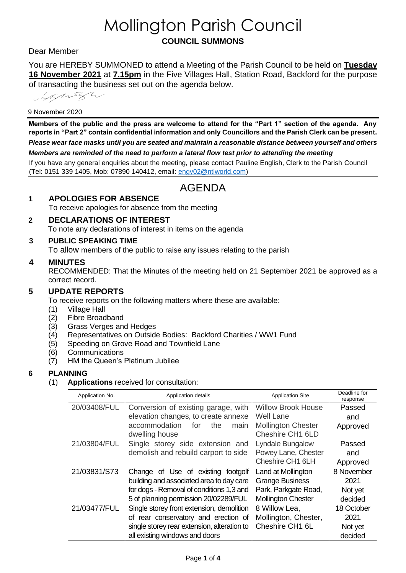# Mollington Parish Council **COUNCIL SUMMONS**

### Dear Member

You are HEREBY SUMMONED to attend a Meeting of the Parish Council to be held on **Tuesday 16 November 2021** at **7.15pm** in the Five Villages Hall, Station Road, Backford for the purpose of transacting the business set out on the agenda below.

information

#### 9 November 2020

**Members of the public and the press are welcome to attend for the "Part 1" section of the agenda. Any reports in "Part 2" contain confidential information and only Councillors and the Parish Clerk can be present.**  *Please wear face masks until you are seated and maintain a reasonable distance between yourself and others Members are reminded of the need to perform a lateral flow test prior to attending the meeting*

If you have any general enquiries about the meeting, please contact Pauline English, Clerk to the Parish Council (Tel: 0151 339 1405, Mob: 07890 140412, email: [engy02@ntlworld.com\)](mailto:engy02@ntlworld.com)

## AGENDA

#### **1 APOLOGIES FOR ABSENCE**

To receive apologies for absence from the meeting

## **2 DECLARATIONS OF INTEREST**

To note any declarations of interest in items on the agenda

**3 PUBLIC SPEAKING TIME**

To allow members of the public to raise any issues relating to the parish

#### **4 MINUTES**

RECOMMENDED: That the Minutes of the meeting held on 21 September 2021 be approved as a correct record.

#### **5 UPDATE REPORTS**

To receive reports on the following matters where these are available:

- (1) Village Hall
- (2) Fibre Broadband
- (3) Grass Verges and Hedges
- (4) Representatives on Outside Bodies: Backford Charities / WW1 Fund
- (5) Speeding on Grove Road and Townfield Lane
- (6) Communications
- (7) HM the Queen's Platinum Jubilee

#### **6 PLANNING**

(1) **Applications** received for consultation:

| Application No. | Application details                         | <b>Application Site</b>             | Deadline for<br>response |
|-----------------|---------------------------------------------|-------------------------------------|--------------------------|
| 20/03408/FUL    | Conversion of existing garage, with         | <b>Willow Brook House</b><br>Passed |                          |
|                 | elevation changes, to create annexe         | <b>Well Lane</b>                    | and                      |
|                 | accommodation<br>for<br>the<br>main         | <b>Mollington Chester</b>           | Approved                 |
|                 | dwelling house                              | Cheshire CH1 6LD                    |                          |
| 21/03804/FUL    | Single storey side extension and            | Lyndale Bungalow                    | Passed                   |
|                 | demolish and rebuild carport to side        | Powey Lane, Chester                 | and                      |
|                 |                                             | Cheshire CH1 6LH                    | Approved                 |
| 21/03831/S73    | Change of Use of existing footgolf          | Land at Mollington                  | 8 November               |
|                 | building and associated area to day care    | <b>Grange Business</b>              | 2021                     |
|                 | for dogs - Removal of conditions 1,3 and    | Park, Parkgate Road,                | Not yet                  |
|                 | 5 of planning permission 20/02289/FUL       | <b>Mollington Chester</b>           | decided                  |
| 21/03477/FUL    | Single storey front extension, demolition   | 8 Willow Lea,                       | 18 October               |
|                 | of rear conservatory and erection of        | Mollington, Chester,                | 2021                     |
|                 | single storey rear extension, alteration to | Cheshire CH1 6L                     | Not yet                  |
|                 | all existing windows and doors              |                                     | decided                  |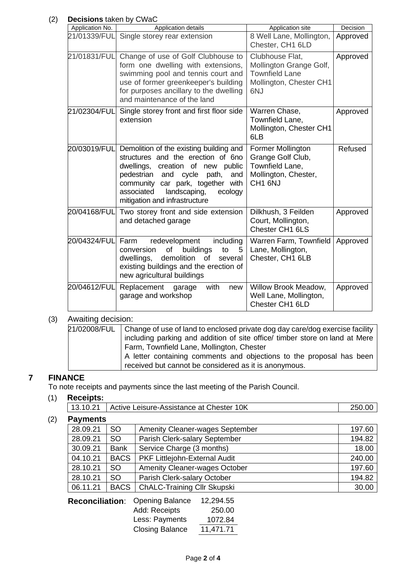## (2) **Decisions** taken by CWaC

| Application No. | Application details                                                                                                                                                                                                                                                 | Application site                                                                                      | Decision |
|-----------------|---------------------------------------------------------------------------------------------------------------------------------------------------------------------------------------------------------------------------------------------------------------------|-------------------------------------------------------------------------------------------------------|----------|
| 21/01339/FUL    | Single storey rear extension                                                                                                                                                                                                                                        | 8 Well Lane, Mollington,<br>Chester, CH1 6LD                                                          | Approved |
| 21/01831/FUL    | Change of use of Golf Clubhouse to<br>form one dwelling with extensions,<br>swimming pool and tennis court and<br>use of former greenkeeper's building<br>for purposes ancillary to the dwelling<br>and maintenance of the land                                     | Clubhouse Flat,<br>Mollington Grange Golf,<br><b>Townfield Lane</b><br>Mollington, Chester CH1<br>6NJ | Approved |
| 21/02304/FUL    | Single storey front and first floor side<br>extension                                                                                                                                                                                                               | Warren Chase,<br>Townfield Lane,<br>Mollington, Chester CH1<br>6LB                                    | Approved |
| 20/03019/FUL    | Demolition of the existing building and<br>structures and the erection of 6no<br>dwellings, creation of new public<br>pedestrian and cycle path,<br>and<br>community car park, together with<br>associated landscaping,<br>ecology<br>mitigation and infrastructure | Former Mollington<br>Grange Golf Club,<br>Townfield Lane,<br>Mollington, Chester,<br>CH1 6NJ          | Refused  |
| 20/04168/FUL    | Two storey front and side extension<br>and detached garage                                                                                                                                                                                                          | Dilkhush, 3 Feilden<br>Court, Mollington,<br>Chester CH1 6LS                                          | Approved |
| 20/04324/FUL    | including<br>Farm<br>redevelopment<br>of<br>buildings<br>conversion<br>to<br>5<br>demolition of<br>dwellings,<br>several<br>existing buildings and the erection of<br>new agricultural buildings                                                                    | Warren Farm, Townfield<br>Lane, Mollington,<br>Chester, CH1 6LB                                       | Approved |
| 20/04612/FUL    | Replacement<br>with<br>garage<br>new<br>garage and workshop                                                                                                                                                                                                         | Willow Brook Meadow,<br>Well Lane, Mollington,<br>Chester CH1 6LD                                     | Approved |

## (3) Awaiting decision:

| 21/02008/FUL   Change of use of land to enclosed private dog day care/dog exercise facility<br>including parking and addition of site office/ timber store on land at Mere<br>Farm, Townfield Lane, Mollington, Chester |
|-------------------------------------------------------------------------------------------------------------------------------------------------------------------------------------------------------------------------|
| A letter containing comments and objections to the proposal has been<br>received but cannot be considered as it is anonymous.                                                                                           |

## **7 FINANCE**

To note receipts and payments since the last meeting of the Parish Council.

#### (1) **Receipts:**

13.10.21 | Active Leisure-Assistance at Chester 10K 250.00

## (2) **Payments**

| 28.09.21 | SO.         | <b>Amenity Cleaner-wages September</b> | 197.60 |
|----------|-------------|----------------------------------------|--------|
| 28.09.21 | SO.         | Parish Clerk-salary September          | 194.82 |
| 30.09.21 | <b>Bank</b> | Service Charge (3 months)              | 18.00  |
| 04.10.21 | <b>BACS</b> | PKF Littlejohn-External Audit          | 240.00 |
| 28.10.21 | SO.         | <b>Amenity Cleaner-wages October</b>   | 197.60 |
| 28.10.21 | SO.         | Parish Clerk-salary October            | 194.82 |
| 06.11.21 | <b>BACS</b> | <b>ChALC-Training Cllr Skupski</b>     | 30.00  |

| <b>Reconciliation:</b> Opening Balance | 12,294.55 |
|----------------------------------------|-----------|
| Add: Receipts                          | 250.00    |
| Less: Payments                         | 1072.84   |
| <b>Closing Balance</b>                 | 11,471.71 |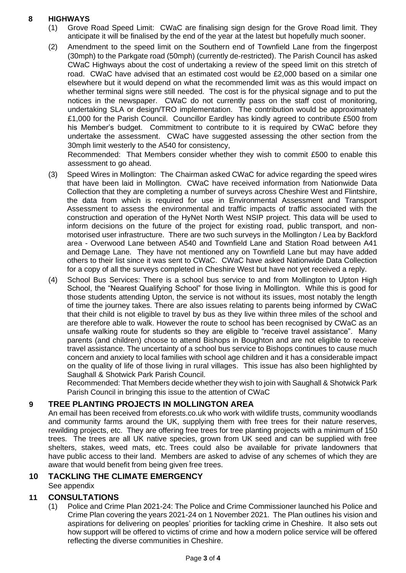#### **8 HIGHWAYS**

- (1) Grove Road Speed Limit: CWaC are finalising sign design for the Grove Road limit. They anticipate it will be finalised by the end of the year at the latest but hopefully much sooner.
- (2) Amendment to the speed limit on the Southern end of Townfield Lane from the fingerpost (30mph) to the Parkgate road (50mph) (currently de-restricted). The Parish Council has asked CWaC Highways about the cost of undertaking a review of the speed limit on this stretch of road. CWaC have advised that an estimated cost would be £2,000 based on a similar one elsewhere but it would depend on what the recommended limit was as this would impact on whether terminal signs were still needed. The cost is for the physical signage and to put the notices in the newspaper. CWaC do not currently pass on the staff cost of monitoring, undertaking SLA or design/TRO implementation. The contribution would be approximately £1,000 for the Parish Council. Councillor Eardley has kindly agreed to contribute £500 from his Member's budget. Commitment to contribute to it is required by CWaC before they undertake the assessment. CWaC have suggested assessing the other section from the 30mph limit westerly to the A540 for consistency,

Recommended: That Members consider whether they wish to commit £500 to enable this assessment to go ahead.

- (3) Speed Wires in Mollington: The Chairman asked CWaC for advice regarding the speed wires that have been laid in Mollington. CWaC have received information from Nationwide Data Collection that they are completing a number of surveys across Cheshire West and Flintshire, the data from which is required for use in Environmental Assessment and Transport Assessment to assess the environmental and traffic impacts of traffic associated with the construction and operation of the HyNet North West NSIP project. This data will be used to inform decisions on the future of the project for existing road, public transport, and nonmotorised user infrastructure. There are two such surveys in the Mollington / Lea by Backford area - Overwood Lane between A540 and Townfield Lane and Station Road between A41 and Demage Lane. They have not mentioned any on Townfield Lane but may have added others to their list since it was sent to CWaC. CWaC have asked Nationwide Data Collection for a copy of all the surveys completed in Cheshire West but have not yet received a reply.
- (4) School Bus Services: There is a school bus service to and from Mollington to Upton High School, the "Nearest Qualifying School" for those living in Mollington. While this is good for those students attending Upton, the service is not without its issues, most notably the length of time the journey takes. There are also issues relating to parents being informed by CWaC that their child is not eligible to travel by bus as they live within three miles of the school and are therefore able to walk. However the route to school has been recognised by CWaC as an unsafe walking route for students so they are eligible to "receive travel assistance". Many parents (and children) choose to attend Bishops in Boughton and are not eligible to receive travel assistance. The uncertainty of a school bus service to Bishops continues to cause much concern and anxiety to local families with school age children and it has a considerable impact on the quality of life of those living in rural villages. This issue has also been highlighted by Saughall & Shotwick Park Parish Council.

Recommended: That Members decide whether they wish to join with Saughall & Shotwick Park Parish Council in bringing this issue to the attention of CWaC

#### **9 TREE PLANTING PROJECTS IN MOLLINGTON AREA**

An email has been received from eforests.co.uk who work with wildlife trusts, community woodlands and community farms around the UK, supplying them with free trees for their nature reserves, rewilding projects, etc. They are offering free trees for tree planting projects with a minimum of 150 trees. The trees are all UK native species, grown from UK seed and can be supplied with free shelters, stakes, weed mats, etc. Trees could also be available for private landowners that have public access to their land. Members are asked to advise of any schemes of which they are aware that would benefit from being given free trees.

#### **10 TACKLING THE CLIMATE EMERGENCY** See appendix

#### **11 CONSULTATIONS**

(1) Police and Crime Plan 2021-24: The Police and Crime Commissioner launched his Police and Crime Plan covering the years 2021-24 on 1 November 2021. The Plan outlines his vision and aspirations for delivering on peoples' priorities for tackling crime in Cheshire. It also sets out how support will be offered to victims of crime and how a modern police service will be offered reflecting the diverse communities in Cheshire.